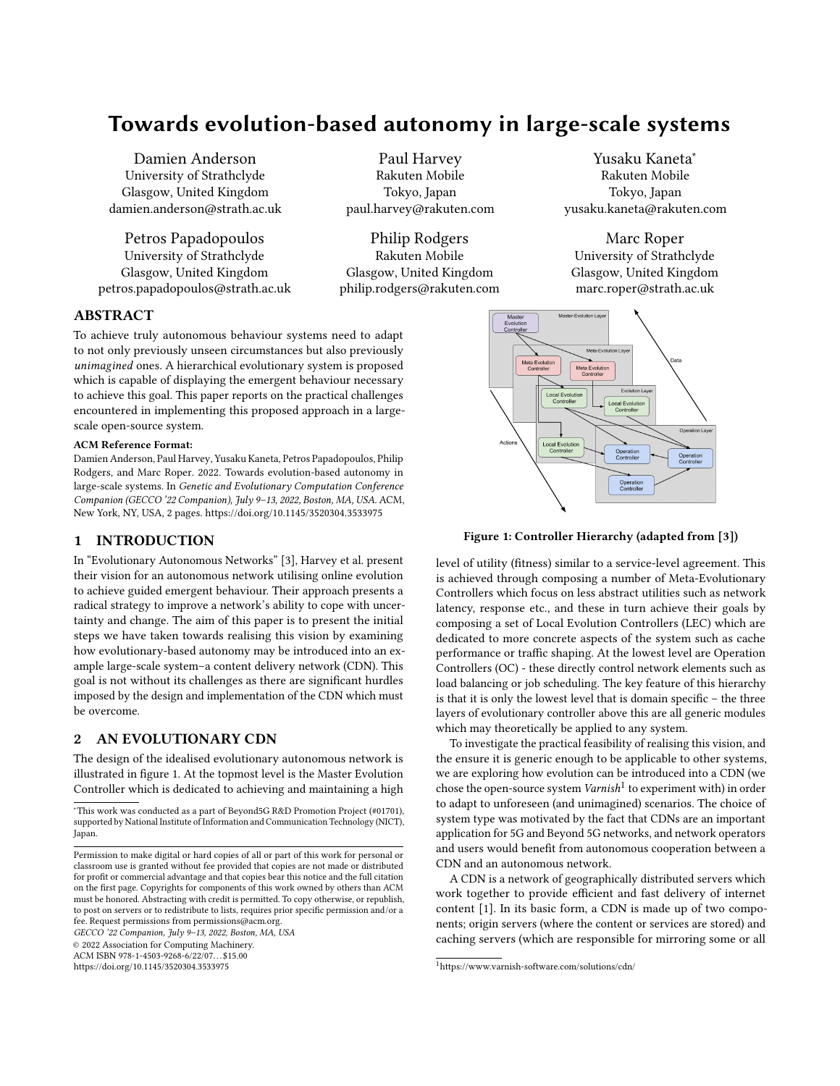# Towards evolution-based autonomy in large-scale systems

Damien Anderson University of Strathclyde Glasgow, United Kingdom damien.anderson@strath.ac.uk

Petros Papadopoulos University of Strathclyde Glasgow, United Kingdom petros.papadopoulos@strath.ac.uk

Paul Harvey Rakuten Mobile Tokyo, Japan paul.harvey@rakuten.com

Philip Rodgers Rakuten Mobile Glasgow, United Kingdom philip.rodgers@rakuten.com

Yusaku Kaneta<sup>∗</sup> Rakuten Mobile Tokyo, Japan yusaku.kaneta@rakuten.com

Marc Roper University of Strathclyde Glasgow, United Kingdom marc.roper@strath.ac.uk

<span id="page-0-0"></span>

## Figure 1: Controller Hierarchy (adapted from [\[3\]](#page-1-1))

level of utility (fitness) similar to a service-level agreement. This is achieved through composing a number of Meta-Evolutionary Controllers which focus on less abstract utilities such as network latency, response etc., and these in turn achieve their goals by composing a set of Local Evolution Controllers (LEC) which are dedicated to more concrete aspects of the system such as cache performance or traffic shaping. At the lowest level are Operation Controllers (OC) - these directly control network elements such as load balancing or job scheduling. The key feature of this hierarchy is that it is only the lowest level that is domain specific – the three layers of evolutionary controller above this are all generic modules which may theoretically be applied to any system.

To investigate the practical feasibility of realising this vision, and the ensure it is generic enough to be applicable to other systems, we are exploring how evolution can be introduced into a CDN (we chose the open-source system  $\textit{Varnish}^1$  $\textit{Varnish}^1$  to experiment with) in order to adapt to unforeseen (and unimagined) scenarios. The choice of system type was motivated by the fact that CDNs are an important application for 5G and Beyond 5G networks, and network operators and users would benefit from autonomous cooperation between a CDN and an autonomous network.

A CDN is a network of geographically distributed servers which work together to provide efficient and fast delivery of internet content [\[1\]](#page-1-2). In its basic form, a CDN is made up of two components; origin servers (where the content or services are stored) and caching servers (which are responsible for mirroring some or all

## ABSTRACT

To achieve truly autonomous behaviour systems need to adapt to not only previously unseen circumstances but also previously unimagined ones. A hierarchical evolutionary system is proposed which is capable of displaying the emergent behaviour necessary to achieve this goal. This paper reports on the practical challenges encountered in implementing this proposed approach in a largescale open-source system.

#### ACM Reference Format:

Damien Anderson, Paul Harvey, Yusaku Kaneta, Petros Papadopoulos, Philip Rodgers, and Marc Roper. 2022. Towards evolution-based autonomy in large-scale systems. In Genetic and Evolutionary Computation Conference Companion (GECCO '22 Companion), July 9–13, 2022, Boston, MA, USA. ACM, New York, NY, USA, [2](#page-1-0) pages.<https://doi.org/10.1145/3520304.3533975>

## 1 INTRODUCTION

In "Evolutionary Autonomous Networks" [\[3\]](#page-1-1), Harvey et al. present their vision for an autonomous network utilising online evolution to achieve guided emergent behaviour. Their approach presents a radical strategy to improve a network's ability to cope with uncertainty and change. The aim of this paper is to present the initial steps we have taken towards realising this vision by examining how evolutionary-based autonomy may be introduced into an example large-scale system–a content delivery network (CDN). This goal is not without its challenges as there are significant hurdles imposed by the design and implementation of the CDN which must be overcome.

## 2 AN EVOLUTIONARY CDN

The design of the idealised evolutionary autonomous network is illustrated in figure [1.](#page-0-0) At the topmost level is the Master Evolution Controller which is dedicated to achieving and maintaining a high

<sup>∗</sup>This work was conducted as a part of Beyond5G R&D Promotion Project (#01701), supported by National Institute of Information and Communication Technology (NICT), Japan.

GECCO '22 Companion, July 9–13, 2022, Boston, MA, USA

© 2022 Association for Computing Machinery.

ACM ISBN 978-1-4503-9268-6/22/07. . . \$15.00 <https://doi.org/10.1145/3520304.3533975>

<span id="page-0-1"></span><sup>1</sup>https://www.varnish-software.com/solutions/cdn/

Permission to make digital or hard copies of all or part of this work for personal or classroom use is granted without fee provided that copies are not made or distributed for profit or commercial advantage and that copies bear this notice and the full citation on the first page. Copyrights for components of this work owned by others than ACM must be honored. Abstracting with credit is permitted. To copy otherwise, or republish, to post on servers or to redistribute to lists, requires prior specific permission and/or a fee. Request permissions from permissions@acm.org.